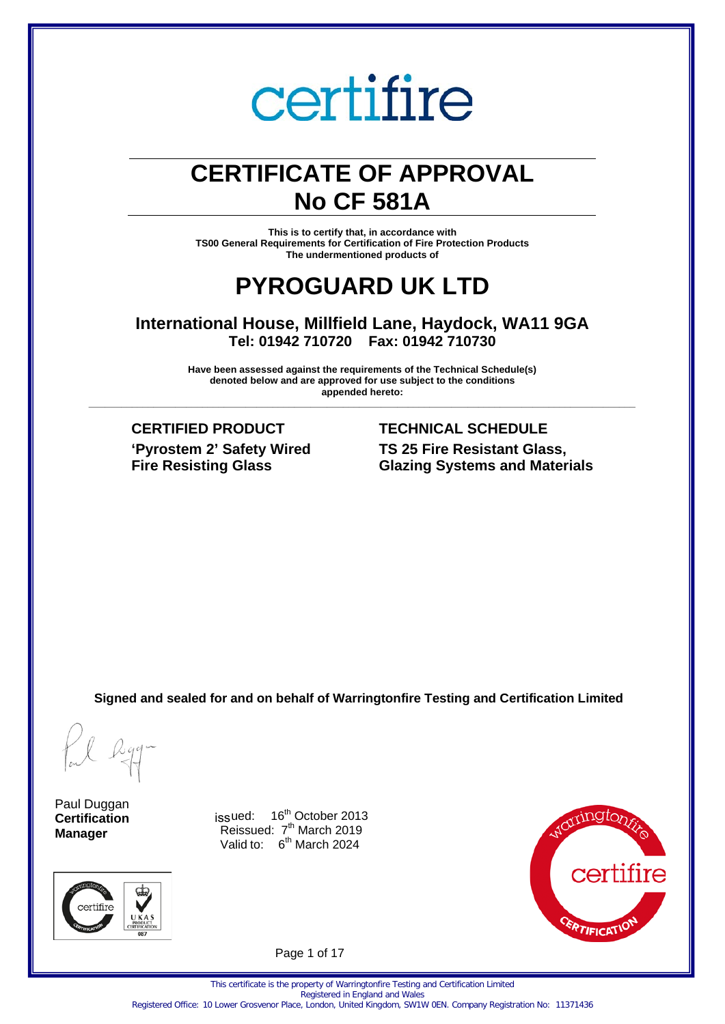## **CERTIFICATE OF APPROVAL No CF 581A**

**This is to certify that, in accordance with TS00 General Requirements for Certification of Fire Protection Products The undermentioned products of**

## **PYROGUARD UK LTD**

**International House, Millfield Lane, Haydock, WA11 9GA Tel: 01942 710720 Fax: 01942 710730**

**Have been assessed against the requirements of the Technical Schedule(s) denoted below and are approved for use subject to the conditions appended hereto: \_\_\_\_\_\_\_\_\_\_\_\_\_\_\_\_\_\_\_\_\_\_\_\_\_\_\_\_\_\_\_\_\_\_\_\_\_\_\_\_\_\_\_\_\_\_\_\_\_\_\_\_\_\_\_\_\_\_\_\_\_\_\_\_\_\_\_\_\_\_\_\_\_\_\_\_\_\_\_\_\_\_\_\_\_\_\_\_\_\_\_\_\_\_\_\_\_\_\_\_\_**

**CERTIFIED PRODUCT TECHNICAL SCHEDULE 'Pyrostem 2' Safety Wired Fire Resisting Glass**

## **TS 25 Fire Resistant Glass, Glazing Systems and Materials**

**Signed and sealed for and on behalf of Warringtonfire Testing and Certification Limited**

Paul Duggan **Certification Manager**



issued:  $16^{th}$  October 2013 Reissued: 7<sup>th</sup> March 2019 Valid to: 6<sup>th</sup> March 2024



Page 1 of 17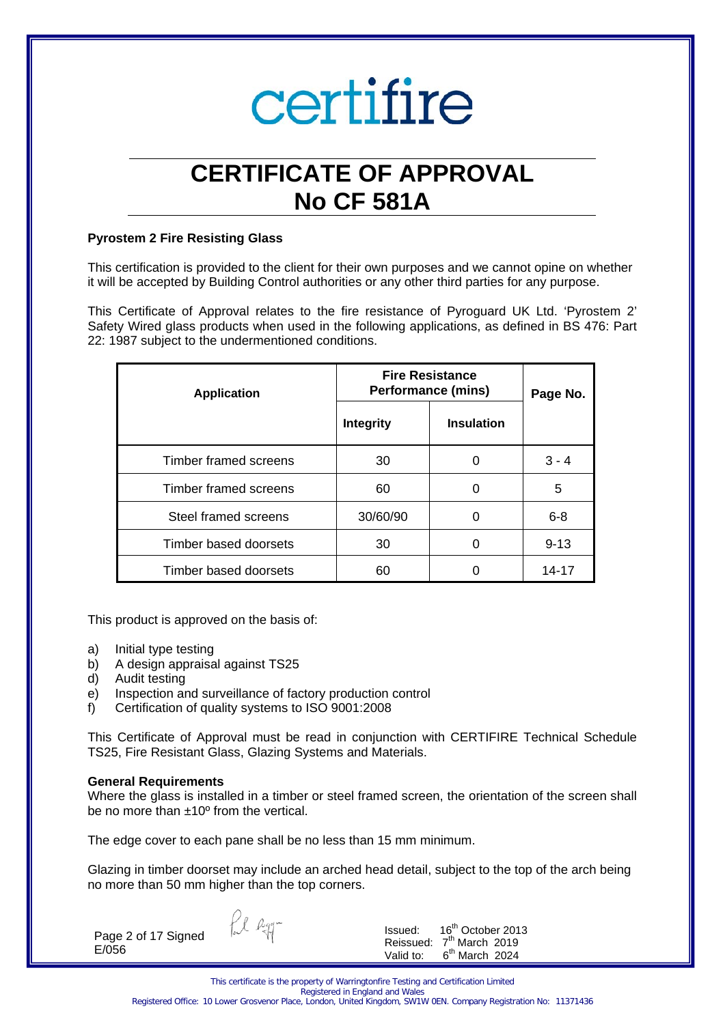

## **CERTIFICATE OF APPROVAL No CF 581A**

#### **Pyrostem 2 Fire Resisting Glass**

This certification is provided to the client for their own purposes and we cannot opine on whether it will be accepted by Building Control authorities or any other third parties for any purpose.

This Certificate of Approval relates to the fire resistance of Pyroguard UK Ltd. 'Pyrostem 2' Safety Wired glass products when used in the following applications, as defined in BS 476: Part 22: 1987 subject to the undermentioned conditions.

| <b>Application</b>    | <b>Fire Resistance</b><br><b>Performance (mins)</b> |                   | Page No. |
|-----------------------|-----------------------------------------------------|-------------------|----------|
|                       | <b>Integrity</b>                                    | <b>Insulation</b> |          |
| Timber framed screens | 30                                                  | 0                 | $3 - 4$  |
| Timber framed screens | 60                                                  | 0                 | 5        |
| Steel framed screens  | 30/60/90                                            | O                 | $6 - 8$  |
| Timber based doorsets | 30                                                  | O                 | $9 - 13$ |
| Timber based doorsets | 60                                                  |                   | 14-17    |

This product is approved on the basis of:

- a) Initial type testing
- b) A design appraisal against TS25
- d) Audit testing
- e) Inspection and surveillance of factory production control
- f) Certification of quality systems to ISO 9001:2008

This Certificate of Approval must be read in conjunction with CERTIFIRE Technical Schedule TS25, Fire Resistant Glass, Glazing Systems and Materials.

#### **General Requirements**

Where the glass is installed in a timber or steel framed screen, the orientation of the screen shall be no more than ±10º from the vertical.

The edge cover to each pane shall be no less than 15 mm minimum.

Glazing in timber doorset may include an arched head detail, subject to the top of the arch being no more than 50 mm higher than the top corners.

Page 2 of 17 Signed E/056

fil agg-

Issued: 16<sup>th</sup> October 2013 Reissued:  $7^{\text{th}}$  March 2019<br>Valid to:  $6^{\text{th}}$  March 2024  $6<sup>th</sup>$  March 2024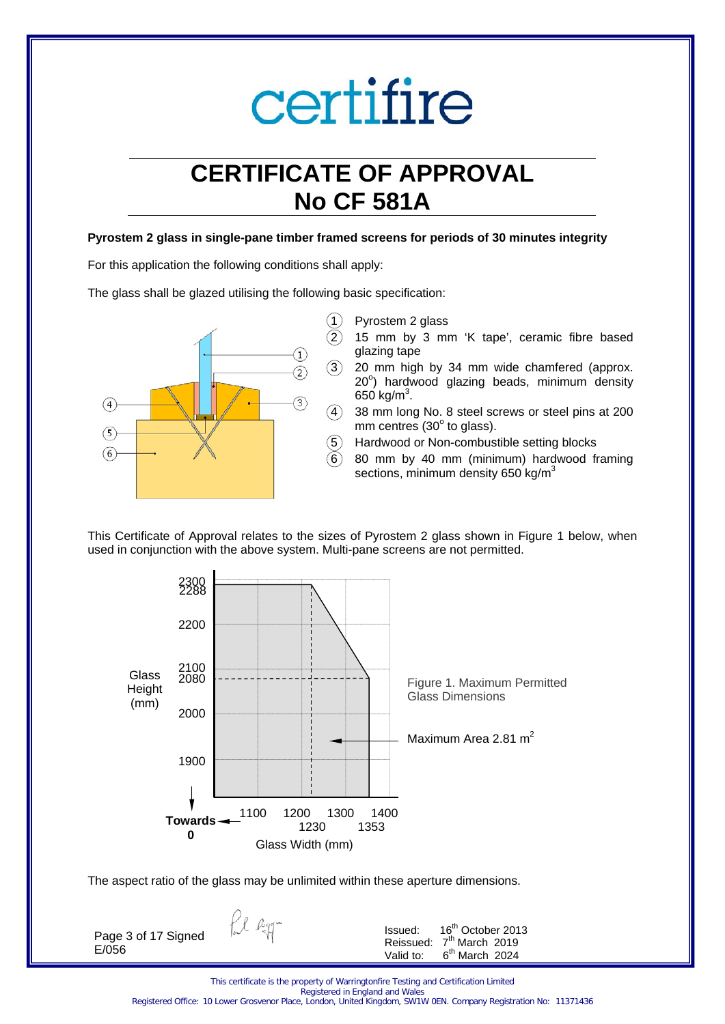## **CERTIFICATE OF APPROVAL No CF 581A**

#### **Pyrostem 2 glass in single-pane timber framed screens for periods of 30 minutes integrity**

For this application the following conditions shall apply:

The glass shall be glazed utilising the following basic specification:



- $(1)$  Pyrostem 2 glass
	- 2 15 mm by 3 mm 'K tape', ceramic fibre based glazing tape
	- 20 mm high by 34 mm wide chamfered (approx. 20°) hardwood glazing beads, minimum density 650 kg/ $m^3$ .
	- 38 mm long No. 8 steel screws or steel pins at 200 mm centres  $(30^{\circ}$  to glass).
	- 5 Hardwood or Non-combustible setting blocks
	- 6 80 mm by 40 mm (minimum) hardwood framing sections, minimum density 650 kg/m<sup>3</sup>





The aspect ratio of the glass may be unlimited within these aperture dimensions.

fil egg-

Page 3 of 17 Signed E/056

| Issued:   | 16 <sup>th</sup> October 2013        |
|-----------|--------------------------------------|
|           | Reissued: 7 <sup>th</sup> March 2019 |
| Valid to: | $6th$ March 2024                     |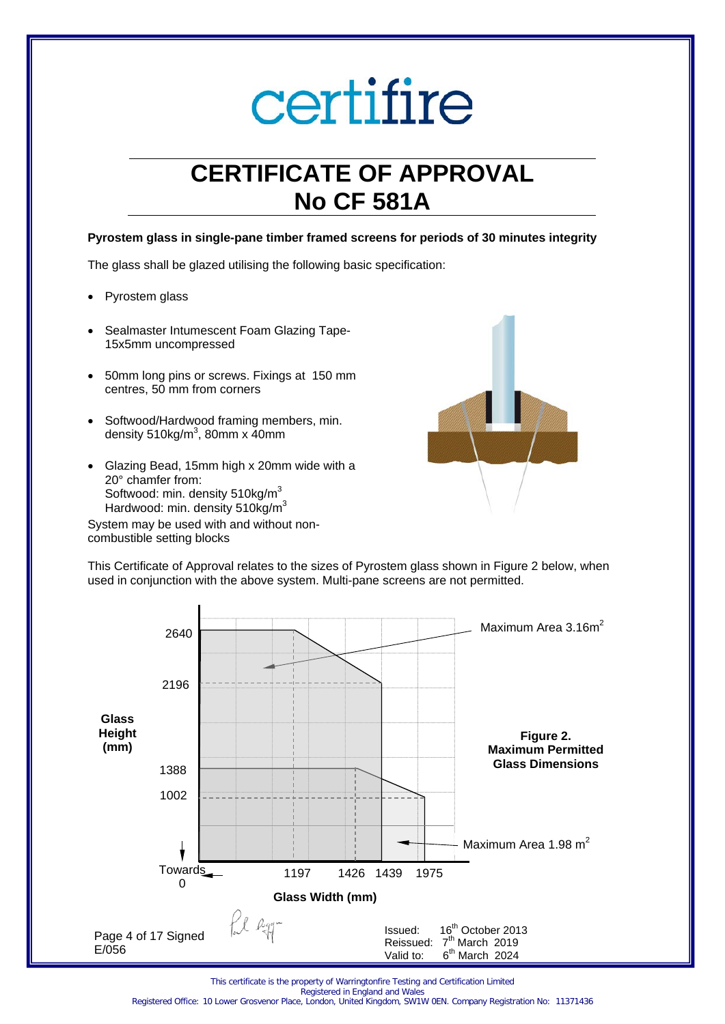## **CERTIFICATE OF APPROVAL No CF 581A**

#### **Pyrostem glass in single-pane timber framed screens for periods of 30 minutes integrity**

The glass shall be glazed utilising the following basic specification:

- Pyrostem glass
- Sealmaster Intumescent Foam Glazing Tape-15x5mm uncompressed
- 50mm long pins or screws. Fixings at 150 mm centres, 50 mm from corners
- Softwood/Hardwood framing members, min. density 510kg/m $3$ , 80mm x 40mm
- Glazing Bead, 15mm high x 20mm wide with a 20° chamfer from: Softwood: min. density 510kg/m<sup>3</sup> Hardwood: min. density  $510kg/m<sup>3</sup>$

System may be used with and without noncombustible setting blocks



This Certificate of Approval relates to the sizes of Pyrostem glass shown in Figure 2 below, when used in conjunction with the above system. Multi-pane screens are not permitted.



This certificate is the property of Warringtonfire Testing and Certification Limited Registered in England and Wales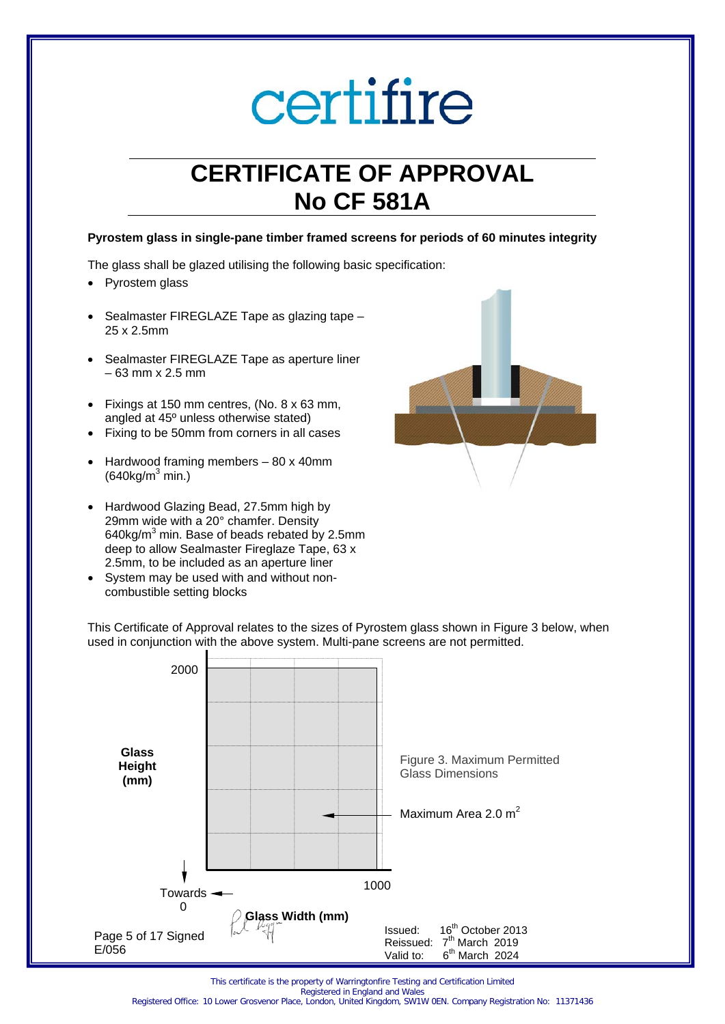## **CERTIFICATE OF APPROVAL No CF 581A**

#### **Pyrostem glass in single-pane timber framed screens for periods of 60 minutes integrity**

The glass shall be glazed utilising the following basic specification:

- Pyrostem glass
- Sealmaster FIREGLAZE Tape as glazing tape 25 x 2.5mm
- Sealmaster FIREGLAZE Tape as aperture liner – 63 mm x 2.5 mm
- Fixings at 150 mm centres, (No. 8 x 63 mm, angled at 45º unless otherwise stated)
- Fixing to be 50mm from corners in all cases
- Hardwood framing members 80 x 40mm  $(640 \text{ka/m}^3 \text{min.})$
- Hardwood Glazing Bead, 27.5mm high by 29mm wide with a 20° chamfer. Density 640kg/ $m^3$  min. Base of beads rebated by 2.5mm deep to allow Sealmaster Fireglaze Tape, 63 x 2.5mm, to be included as an aperture liner
- System may be used with and without noncombustible setting blocks



This Certificate of Approval relates to the sizes of Pyrostem glass shown in Figure 3 below, when used in conjunction with the above system. Multi-pane screens are not permitted.



This certificate is the property of Warringtonfire Testing and Certification Limited Registered in England and Wales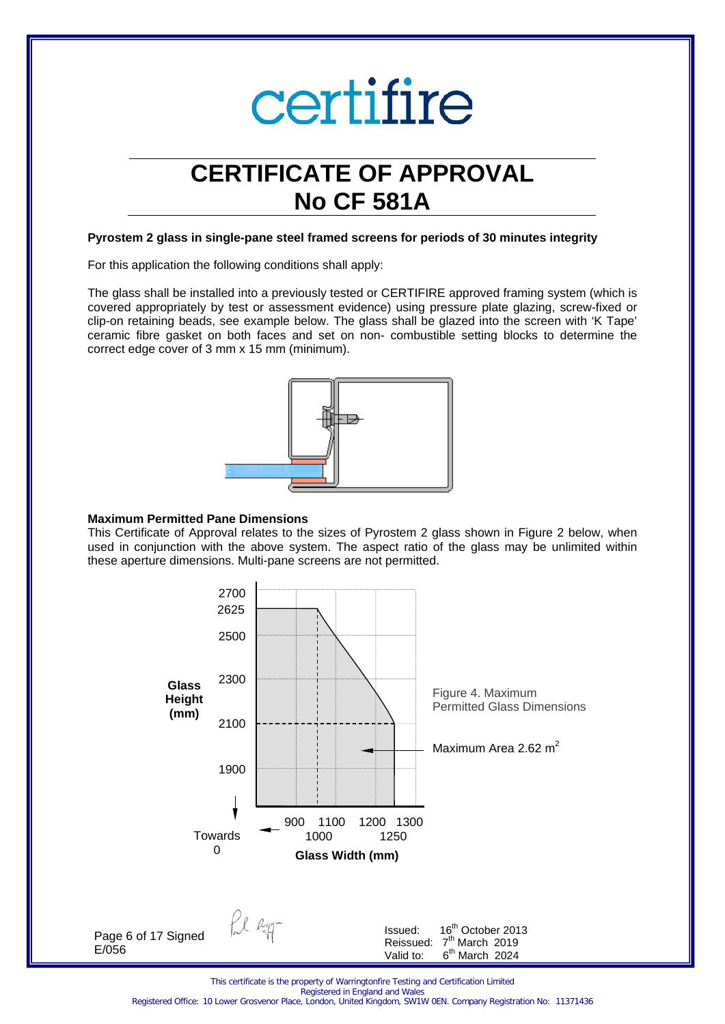### **CERTIFICATE OF APPROVAL No CF 581A**

#### **Pyrostem 2 glass in single-pane steel framed screens for periods of 30 minutes integrity**

For this application the following conditions shall apply:

The glass shall be installed into a previously tested or CERTIFIRE approved framing system (which is covered appropriately by test or assessment evidence) using pressure plate glazing, screw-fixed or clip-on retaining beads, see example below. The glass shall be glazed into the screen with 'K Tape' ceramic fibre gasket on both faces and set on non- combustible setting blocks to determine the correct edge cover of 3 mm x 15 mm (minimum).



#### **Maximum Permitted Pane Dimensions**

This Certificate of Approval relates to the sizes of Pyrostem 2 glass shown in Figure 2 below, when used in conjunction with the above system. The aspect ratio of the glass may be unlimited within these aperture dimensions. Multi-pane screens are not permitted.

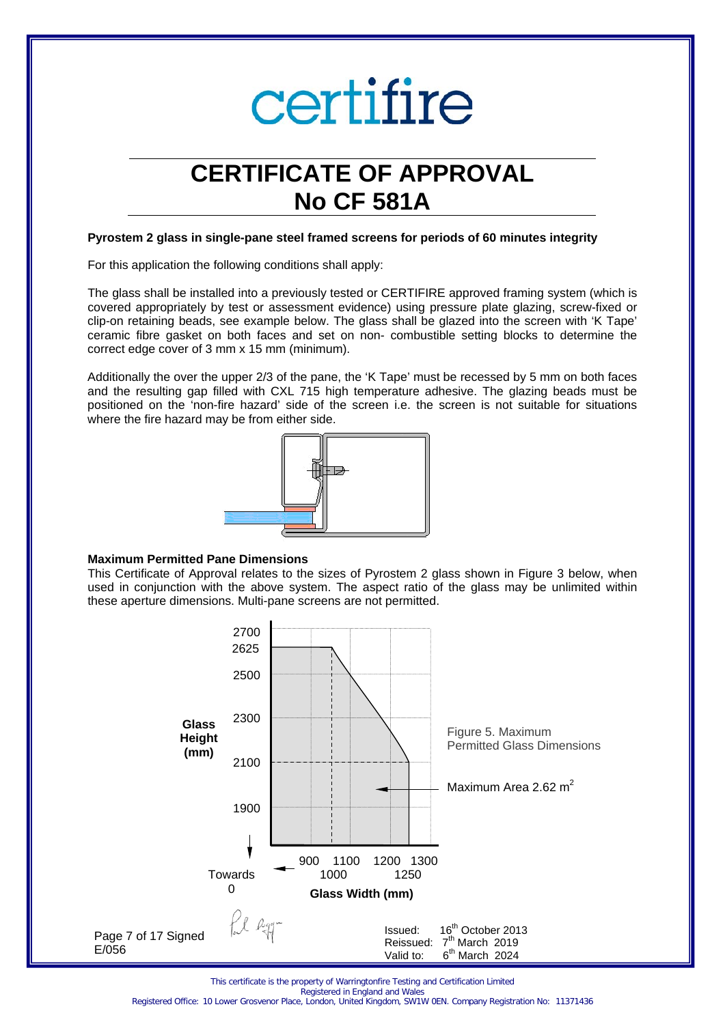

### **CERTIFICATE OF APPROVAL No CF 581A**

#### **Pyrostem 2 glass in single-pane steel framed screens for periods of 60 minutes integrity**

For this application the following conditions shall apply:

The glass shall be installed into a previously tested or CERTIFIRE approved framing system (which is covered appropriately by test or assessment evidence) using pressure plate glazing, screw-fixed or clip-on retaining beads, see example below. The glass shall be glazed into the screen with 'K Tape' ceramic fibre gasket on both faces and set on non- combustible setting blocks to determine the correct edge cover of 3 mm x 15 mm (minimum).

Additionally the over the upper 2/3 of the pane, the 'K Tape' must be recessed by 5 mm on both faces and the resulting gap filled with CXL 715 high temperature adhesive. The glazing beads must be positioned on the 'non-fire hazard' side of the screen i.e. the screen is not suitable for situations where the fire hazard may be from either side.



#### **Maximum Permitted Pane Dimensions**

This Certificate of Approval relates to the sizes of Pyrostem 2 glass shown in Figure 3 below, when used in conjunction with the above system. The aspect ratio of the glass may be unlimited within these aperture dimensions. Multi-pane screens are not permitted.



This certificate is the property of Warringtonfire Testing and Certification Limited

Registered in England and Wales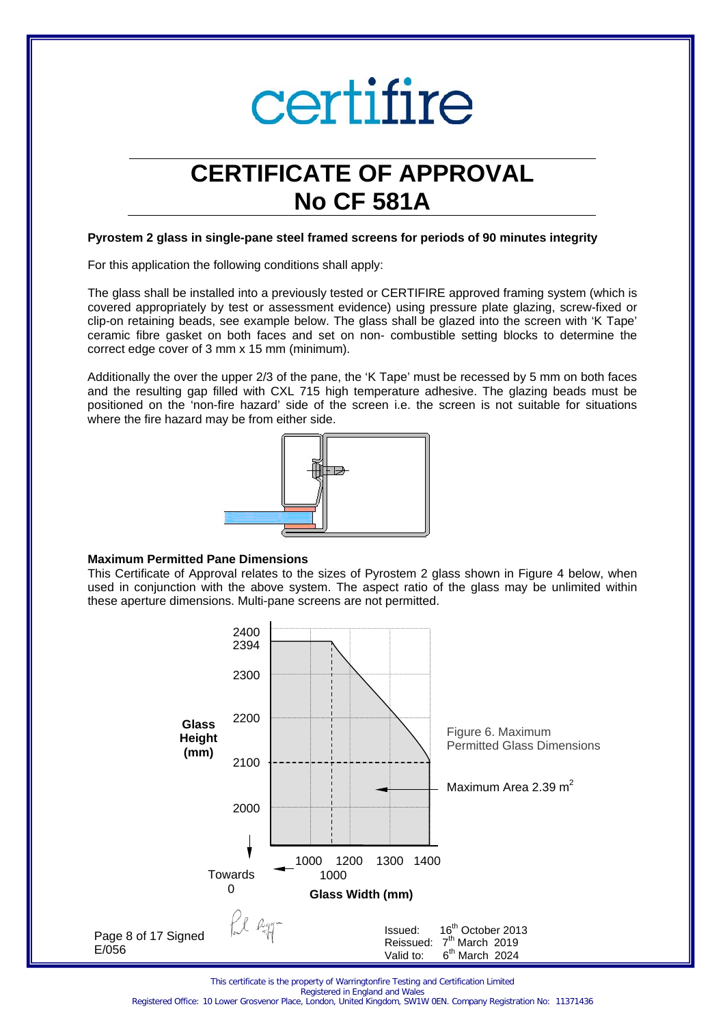

### **CERTIFICATE OF APPROVAL No CF 581A**

#### **Pyrostem 2 glass in single-pane steel framed screens for periods of 90 minutes integrity**

For this application the following conditions shall apply:

The glass shall be installed into a previously tested or CERTIFIRE approved framing system (which is covered appropriately by test or assessment evidence) using pressure plate glazing, screw-fixed or clip-on retaining beads, see example below. The glass shall be glazed into the screen with 'K Tape' ceramic fibre gasket on both faces and set on non- combustible setting blocks to determine the correct edge cover of 3 mm x 15 mm (minimum).

Additionally the over the upper 2/3 of the pane, the 'K Tape' must be recessed by 5 mm on both faces and the resulting gap filled with CXL 715 high temperature adhesive. The glazing beads must be positioned on the 'non-fire hazard' side of the screen i.e. the screen is not suitable for situations where the fire hazard may be from either side.



#### **Maximum Permitted Pane Dimensions**

This Certificate of Approval relates to the sizes of Pyrostem 2 glass shown in Figure 4 below, when used in conjunction with the above system. The aspect ratio of the glass may be unlimited within these aperture dimensions. Multi-pane screens are not permitted.



This certificate is the property of Warringtonfire Testing and Certification Limited

Registered in England and Wales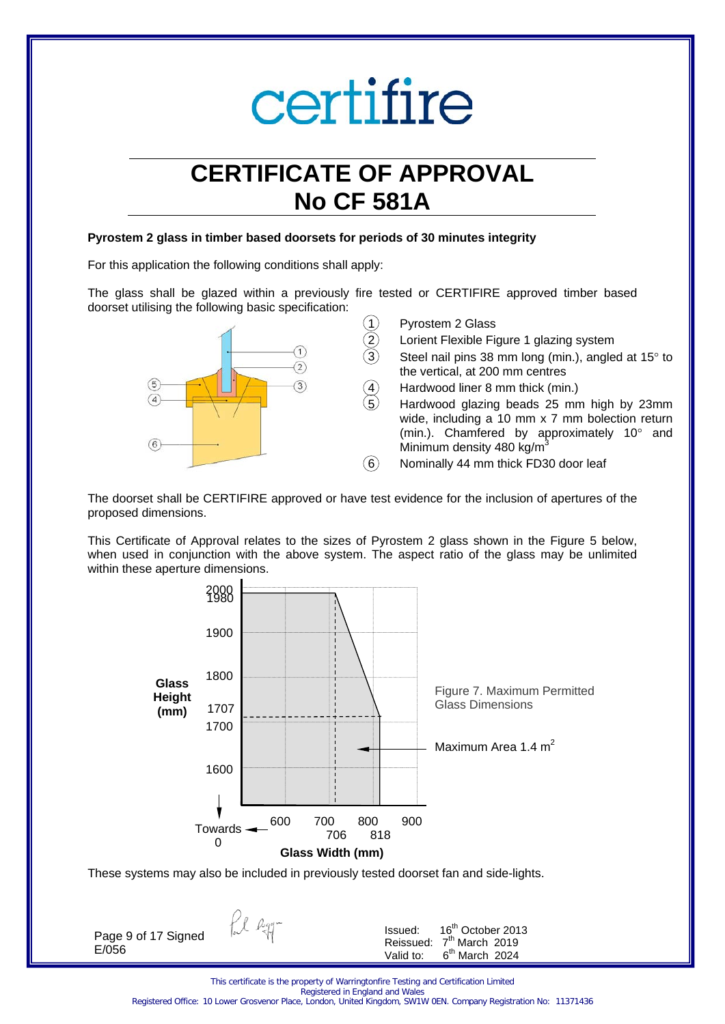## **CERTIFICATE OF APPROVAL No CF 581A**

#### **Pyrostem 2 glass in timber based doorsets for periods of 30 minutes integrity**

For this application the following conditions shall apply:

The glass shall be glazed within a previously fire tested or CERTIFIRE approved timber based doorset utilising the following basic specification:



- Pyrostem 2 Glass
- Lorient Flexible Figure 1 glazing system
- Steel nail pins 38 mm long (min.), angled at  $15^\circ$  to the vertical, at 200 mm centres
- Hardwood liner 8 mm thick (min.)

5 Hardwood glazing beads 25 mm high by 23mm wide, including a 10 mm x 7 mm bolection return (min.). Chamfered by approximately 10° and Minimum density 480 kg/m<sup>3</sup>

 $\overline{6}$  Nominally 44 mm thick FD30 door leaf

The doorset shall be CERTIFIRE approved or have test evidence for the inclusion of apertures of the proposed dimensions.

This Certificate of Approval relates to the sizes of Pyrostem 2 glass shown in the Figure 5 below, when used in conjunction with the above system. The aspect ratio of the glass may be unlimited within these aperture dimensions.



These systems may also be included in previously tested doorset fan and side-lights.

fil agg-Issued: 16th October 2013 Page 9 of 17 Signed Reissued:  $7^{\text{th}}$  March 2019<br>Valid to:  $6^{\text{th}}$  March 2024 E/056  $6<sup>th</sup>$  March 2024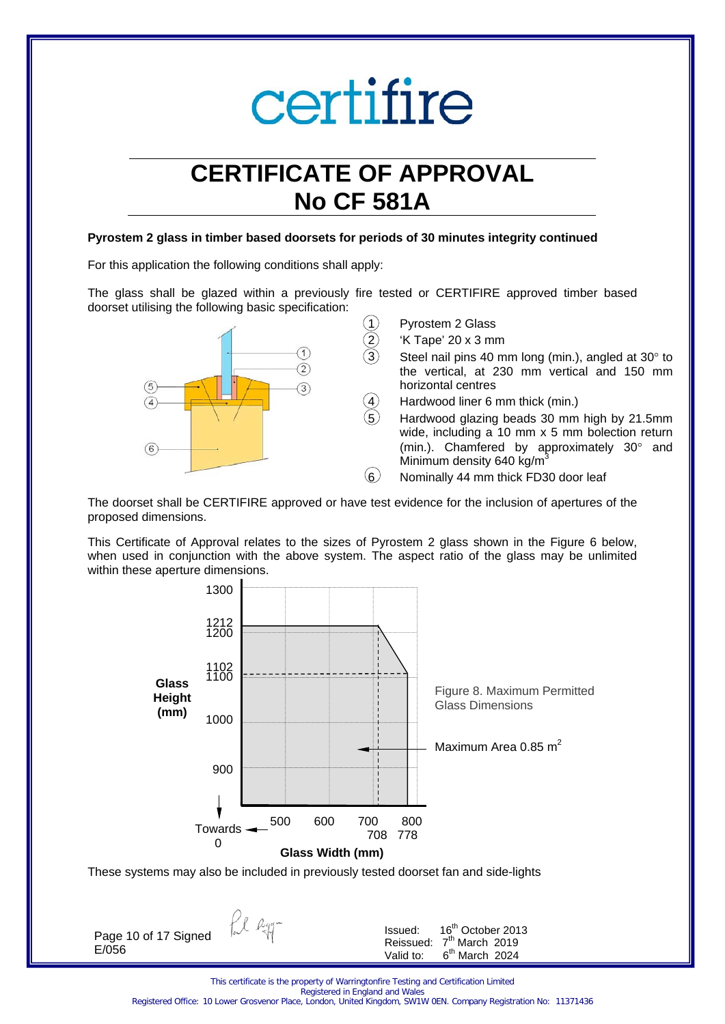## **CERTIFICATE OF APPROVAL No CF 581A**

#### **Pyrostem 2 glass in timber based doorsets for periods of 30 minutes integrity continued**

For this application the following conditions shall apply:

The glass shall be glazed within a previously fire tested or CERTIFIRE approved timber based doorset utilising the following basic specification:



The doorset shall be CERTIFIRE approved or have test evidence for the inclusion of apertures of the proposed dimensions.

This Certificate of Approval relates to the sizes of Pyrostem 2 glass shown in the Figure 6 below, when used in conjunction with the above system. The aspect ratio of the glass may be unlimited within these aperture dimensions.



fil Ryg-Page 10 of 17 Signed E/056

| Issued:   | 16 <sup>th</sup> October 2013 |
|-----------|-------------------------------|
| Reissued: | 7 <sup>th</sup> March 2019    |
| Valid to: | $6th$ March 2024              |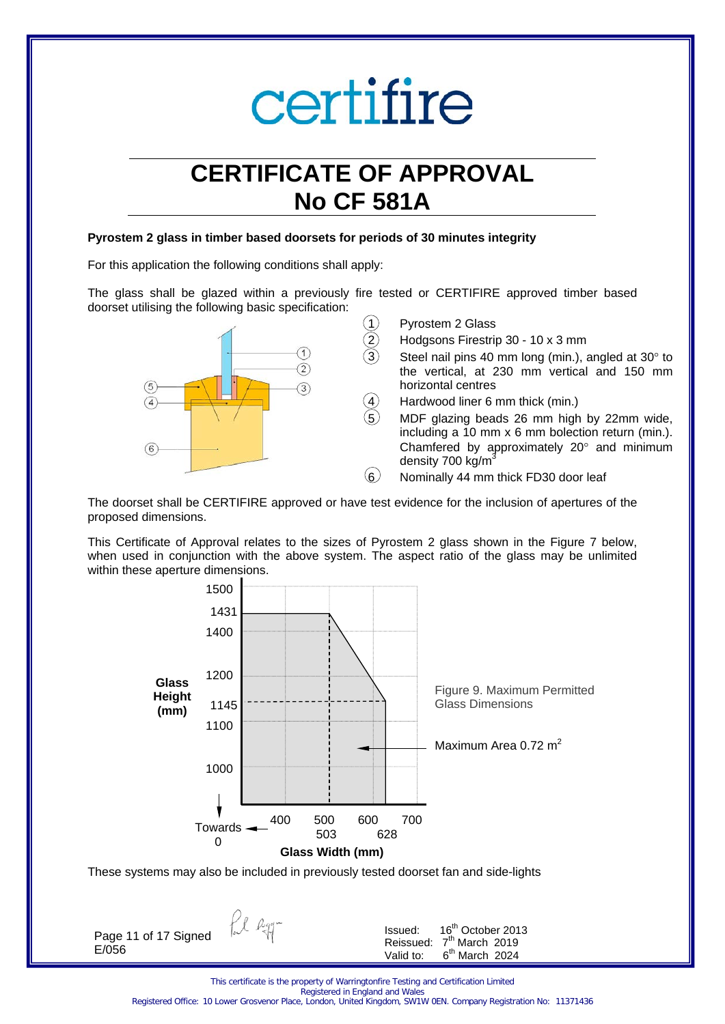## **CERTIFICATE OF APPROVAL No CF 581A**

#### **Pyrostem 2 glass in timber based doorsets for periods of 30 minutes integrity**

For this application the following conditions shall apply:

The glass shall be glazed within a previously fire tested or CERTIFIRE approved timber based doorset utilising the following basic specification:



The doorset shall be CERTIFIRE approved or have test evidence for the inclusion of apertures of the proposed dimensions.

This Certificate of Approval relates to the sizes of Pyrostem 2 glass shown in the Figure 7 below, when used in conjunction with the above system. The aspect ratio of the glass may be unlimited within these aperture dimensions.



These systems may also be included in previously tested doorset fan and side-lights

fil Ryg-Page 11 of 17 Signed E/056

| Issued:   | 16 <sup>th</sup> October 2013 |
|-----------|-------------------------------|
| Reissued: | 7 <sup>th</sup> March 2019    |
| Valid to: | $6th$ March 2024              |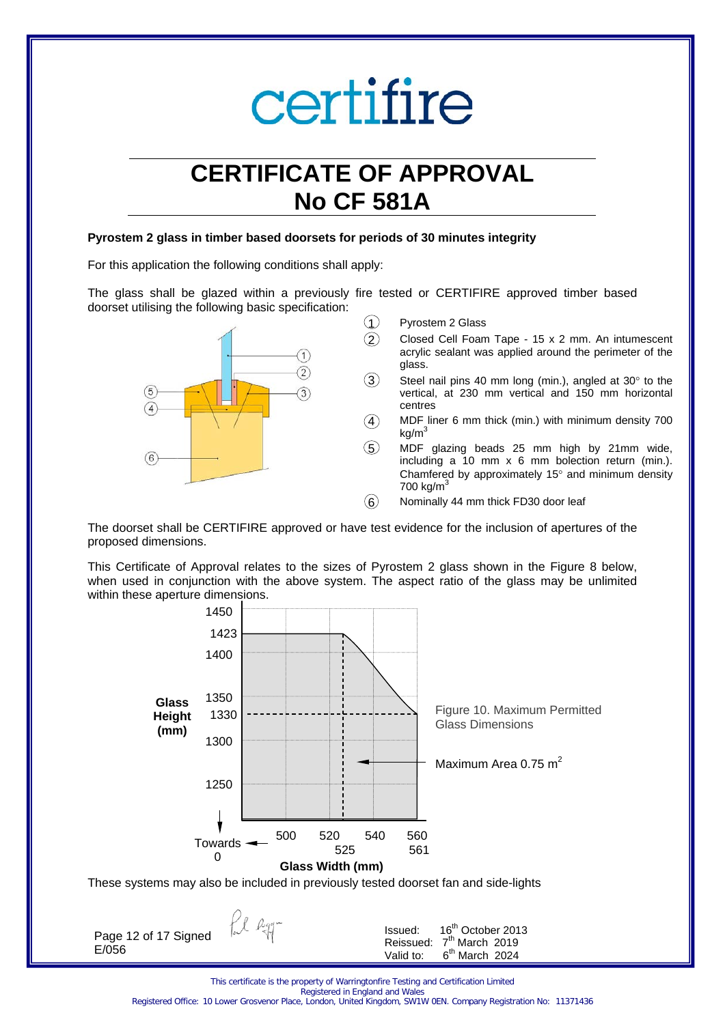## **CERTIFICATE OF APPROVAL No CF 581A**

#### **Pyrostem 2 glass in timber based doorsets for periods of 30 minutes integrity**

For this application the following conditions shall apply:

The glass shall be glazed within a previously fire tested or CERTIFIRE approved timber based doorset utilising the following basic specification:



- 1 Pyrostem 2 Glass
	- 2 Closed Cell Foam Tape 15 x 2 mm. An intumescent acrylic sealant was applied around the perimeter of the glass.
- $3$  Steel nail pins 40 mm long (min.), angled at 30 $^{\circ}$  to the vertical, at 230 mm vertical and 150 mm horizontal centres
- $\overline{4}$  MDF liner 6 mm thick (min.) with minimum density 700  $kg/m<sup>3</sup>$
- 5 MDF glazing beads 25 mm high by 21mm wide, including a 10 mm x 6 mm bolection return (min.). Chamfered by approximately 15° and minimum density 700 kg/ $m<sup>3</sup>$
- $(6)$  Nominally 44 mm thick FD30 door leaf

The doorset shall be CERTIFIRE approved or have test evidence for the inclusion of apertures of the proposed dimensions.

This Certificate of Approval relates to the sizes of Pyrostem 2 glass shown in the Figure 8 below, when used in conjunction with the above system. The aspect ratio of the glass may be unlimited within these aperture dimensions.



fil agg-Page 12 of 17 Signed E/056

Issued: 16<sup>th</sup> October 2013 Reissued:  $7^{\text{th}}$  March 2019<br>Valid to:  $6^{\text{th}}$  March 2024  $6<sup>th</sup>$  March 2024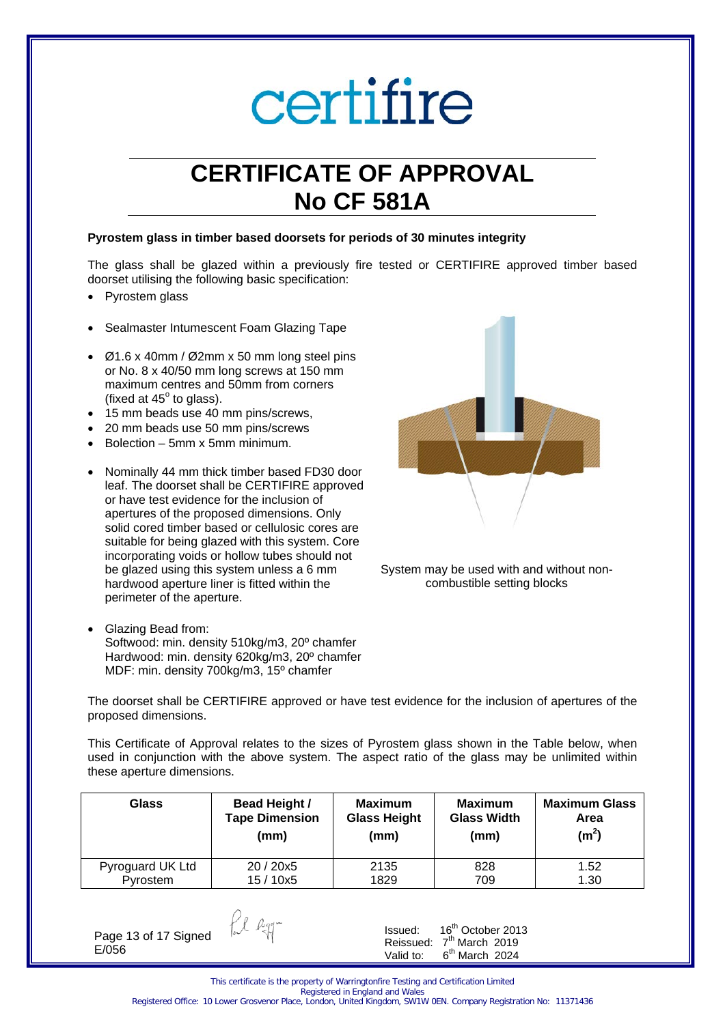## **CERTIFICATE OF APPROVAL No CF 581A**

#### **Pyrostem glass in timber based doorsets for periods of 30 minutes integrity**

The glass shall be glazed within a previously fire tested or CERTIFIRE approved timber based doorset utilising the following basic specification:

- Pyrostem glass
- Sealmaster Intumescent Foam Glazing Tape
- Ø1.6 x 40mm / Ø2mm x 50 mm long steel pins or No. 8 x 40/50 mm long screws at 150 mm maximum centres and 50mm from corners (fixed at  $45^\circ$  to glass).
- 15 mm beads use 40 mm pins/screws,
- 20 mm beads use 50 mm pins/screws
- Bolection 5mm x 5mm minimum.
- Nominally 44 mm thick timber based FD30 door leaf. The doorset shall be CERTIFIRE approved or have test evidence for the inclusion of apertures of the proposed dimensions. Only solid cored timber based or cellulosic cores are suitable for being glazed with this system. Core incorporating voids or hollow tubes should not be glazed using this system unless a 6 mm hardwood aperture liner is fitted within the perimeter of the aperture.
- Glazing Bead from: Softwood: min. density 510kg/m3, 20º chamfer Hardwood: min. density 620kg/m3, 20º chamfer MDF: min. density 700kg/m3, 15º chamfer



System may be used with and without noncombustible setting blocks

The doorset shall be CERTIFIRE approved or have test evidence for the inclusion of apertures of the proposed dimensions.

This Certificate of Approval relates to the sizes of Pyrostem glass shown in the Table below, when used in conjunction with the above system. The aspect ratio of the glass may be unlimited within these aperture dimensions.

| Glass            | Bead Height /         | <b>Maximum</b>      | <b>Maximum</b>     | <b>Maximum Glass</b> |
|------------------|-----------------------|---------------------|--------------------|----------------------|
|                  | <b>Tape Dimension</b> | <b>Glass Height</b> | <b>Glass Width</b> | Area                 |
|                  | (mm)                  | (mm)                | (mm)               | (m <sup>2</sup> )    |
| Pyroguard UK Ltd | 20/20x5               | 2135                | 828                | 1.52                 |
| Pyrostem         | 15 / 10x5             | 1829                | 709                | 1.30                 |

Page 13 of 17 Signed E/056

fil agg-

Issued: 16th October 2013 Reissued:  $7<sup>th</sup>$  March 2019<br>Valid to:  $6<sup>th</sup>$  March 2024  $6<sup>th</sup>$  March 2024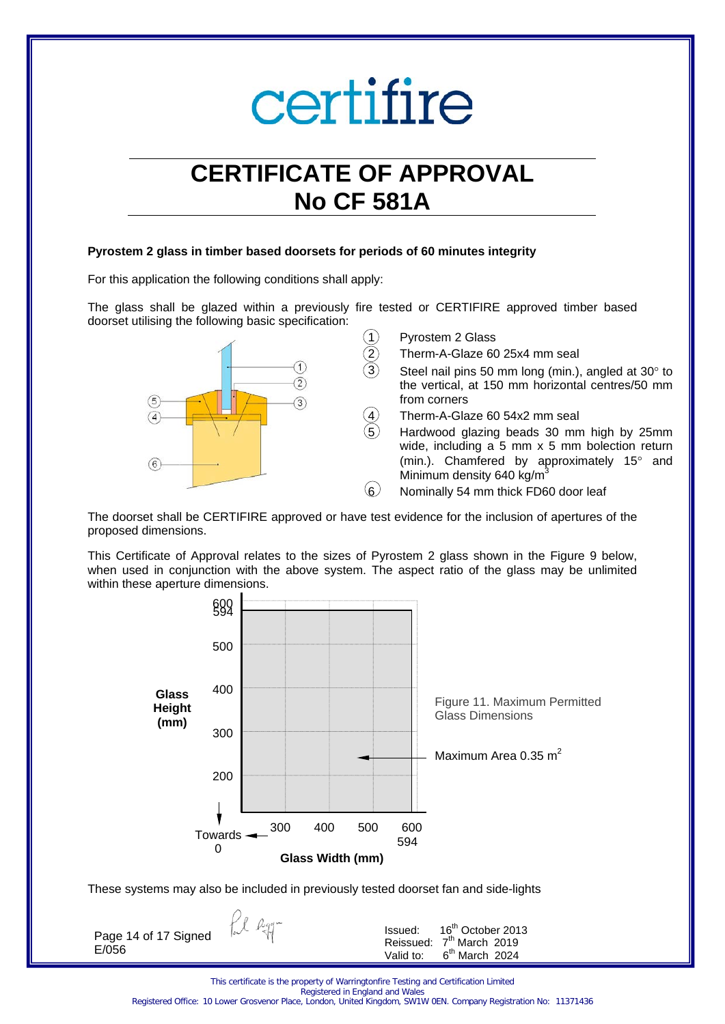## **CERTIFICATE OF APPROVAL No CF 581A**

#### **Pyrostem 2 glass in timber based doorsets for periods of 60 minutes integrity**

For this application the following conditions shall apply:

The glass shall be glazed within a previously fire tested or CERTIFIRE approved timber based doorset utilising the following basic specification:



Pyrostem 2 Glass

2 Therm-A-Glaze 60 25x4 mm seal

Steel nail pins 50 mm long (min.), angled at  $30^\circ$  to the vertical, at 150 mm horizontal centres/50 mm from corners

- Therm-A-Glaze 60 54x2 mm seal
- Hardwood glazing beads 30 mm high by 25mm wide, including a 5 mm x 5 mm bolection return (min.). Chamfered by approximately 15° and Minimum density 640 kg/m<sup>3</sup>

6 Nominally 54 mm thick FD60 door leaf

The doorset shall be CERTIFIRE approved or have test evidence for the inclusion of apertures of the proposed dimensions.

This Certificate of Approval relates to the sizes of Pyrostem 2 glass shown in the Figure 9 below, when used in conjunction with the above system. The aspect ratio of the glass may be unlimited within these aperture dimensions.



These systems may also be included in previously tested doorset fan and side-lights

Pl Rgg-Issued: 16<sup>th</sup> October 2013 Page 14 of 17 Signed Reissued:  $7^{\text{th}}$  March 2019<br>Valid to:  $6^{\text{th}}$  March 2024 E/056  $6<sup>th</sup>$  March 2024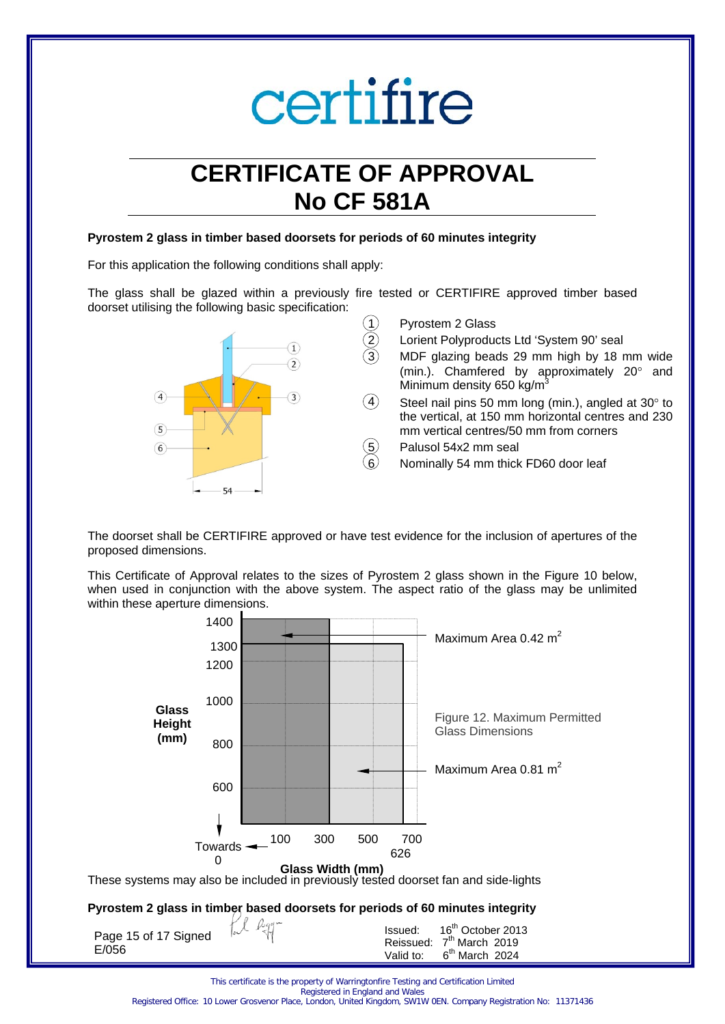## **CERTIFICATE OF APPROVAL No CF 581A**

#### **Pyrostem 2 glass in timber based doorsets for periods of 60 minutes integrity**

For this application the following conditions shall apply:

The glass shall be glazed within a previously fire tested or CERTIFIRE approved timber based doorset utilising the following basic specification:



The doorset shall be CERTIFIRE approved or have test evidence for the inclusion of apertures of the proposed dimensions.

This Certificate of Approval relates to the sizes of Pyrostem 2 glass shown in the Figure 10 below, when used in conjunction with the above system. The aspect ratio of the glass may be unlimited within these aperture dimensions.



### **Pyrostem 2 glass in timber based doorsets for periods of 60 minutes integrity**

| Page 15 of 17 Signed<br>E/056 | Le Regi | Issued: 16 <sup>th</sup> October 2013<br>Reissued: 7 <sup>th</sup> March 2019<br>Valid to: $6th$ March 2024 |
|-------------------------------|---------|-------------------------------------------------------------------------------------------------------------|
|                               |         |                                                                                                             |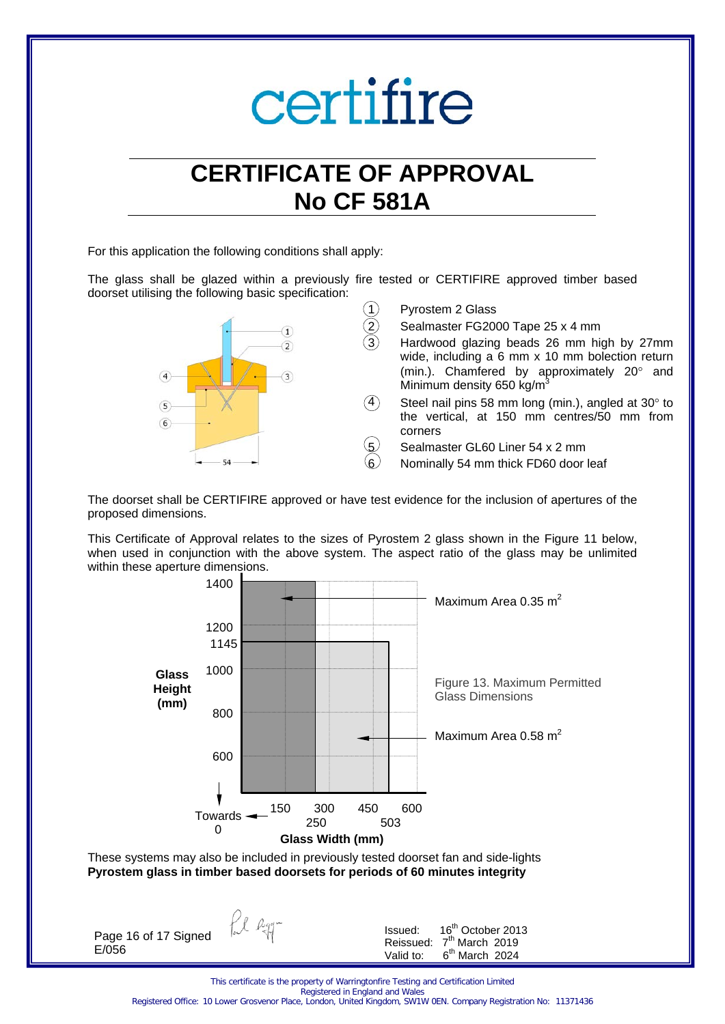### **CERTIFICATE OF APPROVAL No CF 581A**

For this application the following conditions shall apply:

The glass shall be glazed within a previously fire tested or CERTIFIRE approved timber based doorset utilising the following basic specification:



The doorset shall be CERTIFIRE approved or have test evidence for the inclusion of apertures of the proposed dimensions.

This Certificate of Approval relates to the sizes of Pyrostem 2 glass shown in the Figure 11 below, when used in conjunction with the above system. The aspect ratio of the glass may be unlimited within these aperture dimensions.



**Pyrostem glass in timber based doorsets for periods of 60 minutes integrity** 

fil agg-

Page 16 of 17 Signed E/056

Issued: 16th October 2013 Reissued:  $7^{\text{th}}$  March 2019<br>Valid to:  $6^{\text{th}}$  March 2024  $6<sup>th</sup>$  March 2024